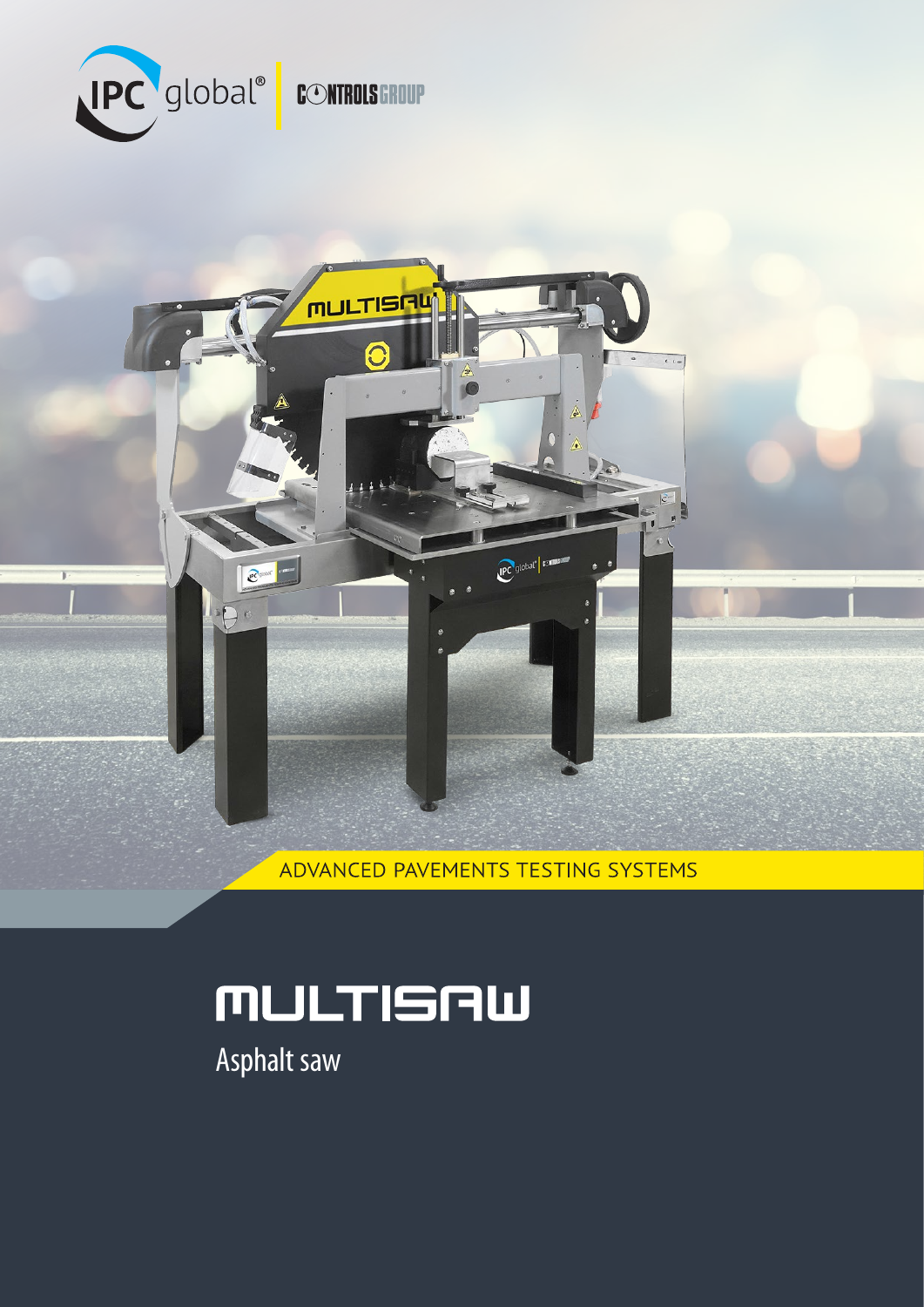



ADVANCED PAVEMENTS TESTING SYSTEMS

# MULTISAW

Asphalt saw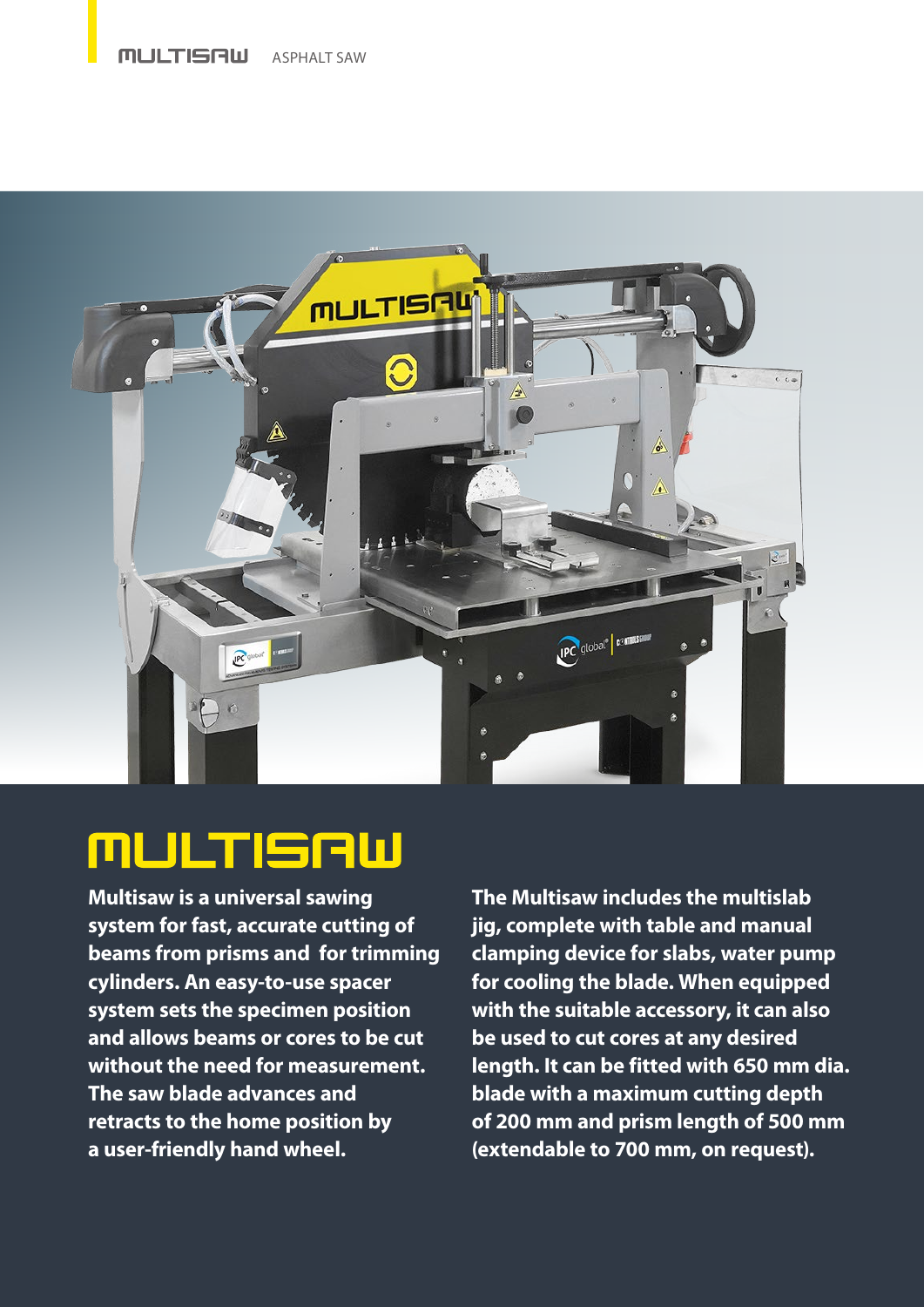#### **MULTISAW** ASPHALT SAW



# MULTISAW

**Multisaw is a universal sawing system for fast, accurate cutting of beams from prisms and for trimming cylinders. An easy-to-use spacer system sets the specimen position and allows beams or cores to be cut without the need for measurement. The saw blade advances and retracts to the home position by a user-friendly hand wheel.**

**The Multisaw includes the multislab jig, complete with table and manual clamping device for slabs, water pump for cooling the blade. When equipped with the suitable accessory, it can also be used to cut cores at any desired length. It can be fitted with 650 mm dia. blade with a maximum cutting depth of 200 mm and prism length of 500 mm (extendable to 700 mm, on request).**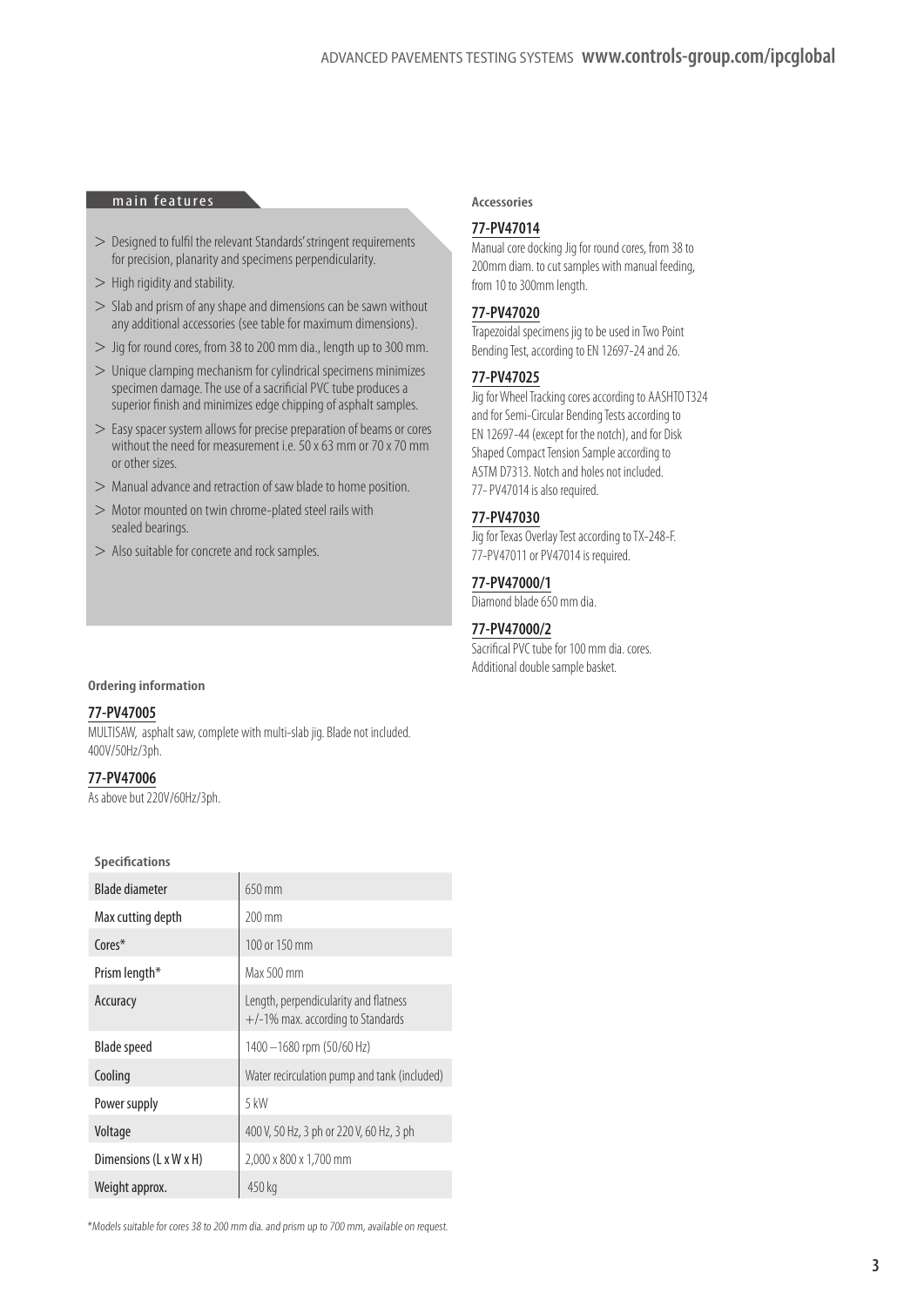#### **main features Accessories**

- > Designed to fulfil the relevant Standards' stringent requirements for precision, planarity and specimens perpendicularity.
- $>$  High rigidity and stability.
- > Slab and prism of any shape and dimensions can be sawn without any additional accessories (see table for maximum dimensions).
- > Jig for round cores, from 38 to 200 mm dia., length up to 300 mm.
- $>$  Unique clamping mechanism for cylindrical specimens minimizes specimen damage. The use of a sacrificial PVC tube produces a superior finish and minimizes edge chipping of asphalt samples.
- > Easy spacer system allows for precise preparation of beams or cores without the need for measurement i.e. 50 x 63 mm or 70 x 70 mm or other sizes.
- > Manual advance and retraction of saw blade to home position.
- > Motor mounted on twin chrome-plated steel rails with sealed bearings.
- > Also suitable for concrete and rock samples.

#### **Ordering information**

#### **77-PV47005**

MULTISAW, asphalt saw, complete with multi-slab jig. Blade not included. 400V/50Hz/3ph.

#### **77-PV47006**

As above but 220V/60Hz/3ph.

#### **Specifications**

| <b>Blade diameter</b>  | $650$ mm                                                                      |
|------------------------|-------------------------------------------------------------------------------|
| Max cutting depth      | $200 \text{ mm}$                                                              |
| Cores*                 | 100 or 150 mm                                                                 |
| Prism length*          | Max 500 mm                                                                    |
| Accuracy               | Length, perpendicularity and flatness<br>$+/-1\%$ max. according to Standards |
| <b>Blade speed</b>     | 1400 - 1680 rpm (50/60 Hz)                                                    |
| Cooling                | Water recirculation pump and tank (included)                                  |
| Power supply           | 5 kW                                                                          |
| Voltage                | 400 V, 50 Hz, 3 ph or 220 V, 60 Hz, 3 ph                                      |
| Dimensions (L x W x H) | 2,000 x 800 x 1,700 mm                                                        |
| Weight approx.         | 450 kg                                                                        |

### \*Models suitable for cores 38 to 200 mm dia. and prism up to 700 mm, available on request.

#### **77-PV47014**

Manual core docking Jig for round cores, from 38 to 200mm diam. to cut samples with manual feeding, from 10 to 300mm length.

#### **77-PV47020**

Trapezoidal specimens jig to be used in Two Point Bending Test, according to EN 12697-24 and 26.

#### **77-PV47025**

Jig for Wheel Tracking cores according to AASHTO T324 and for Semi-Circular Bending Tests according to EN 12697-44 (except for the notch), and for Disk Shaped Compact Tension Sample according to ASTM D7313. Notch and holes not included. 77-PV47014 is also required.

#### **77-PV47030**

Jig for Texas Overlay Test according to TX-248-F. 77-PV47011 or PV47014 is required.

#### **77-PV47000/1**

Diamond blade 650 mm dia.

#### **77-PV47000/2**

Sacrifical PVC tube for 100 mm dia. cores. Additional double sample basket.